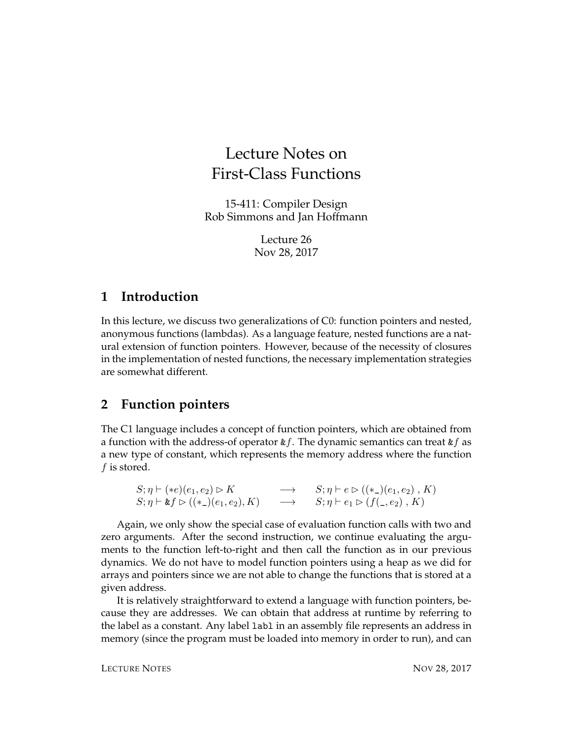## Lecture Notes on First-Class Functions

15-411: Compiler Design Rob Simmons and Jan Hoffmann

> Lecture 26 Nov 28, 2017

## **1 Introduction**

In this lecture, we discuss two generalizations of C0: function pointers and nested, anonymous functions (lambdas). As a language feature, nested functions are a natural extension of function pointers. However, because of the necessity of closures in the implementation of nested functions, the necessary implementation strategies are somewhat different.

## **2 Function pointers**

The C1 language includes a concept of function pointers, which are obtained from a function with the address-of operator  $kf$ . The dynamic semantics can treat  $kf$  as a new type of constant, which represents the memory address where the function f is stored.

```
S; \eta \vdash (*e)(e_1, e_2) \rhd K \longrightarrow S; \eta \vdash e \rhd ((*_-)(e_1, e_2), K)S; \eta \vdash \&f \rhd ((*_-)(e_1, e_2), K) \longrightarrow S; \eta \vdash e_1 \rhd (f(_-, e_2), K)
```
Again, we only show the special case of evaluation function calls with two and zero arguments. After the second instruction, we continue evaluating the arguments to the function left-to-right and then call the function as in our previous dynamics. We do not have to model function pointers using a heap as we did for arrays and pointers since we are not able to change the functions that is stored at a given address.

It is relatively straightforward to extend a language with function pointers, because they are addresses. We can obtain that address at runtime by referring to the label as a constant. Any label labl in an assembly file represents an address in memory (since the program must be loaded into memory in order to run), and can

LECTURE NOTES NOW 28, 2017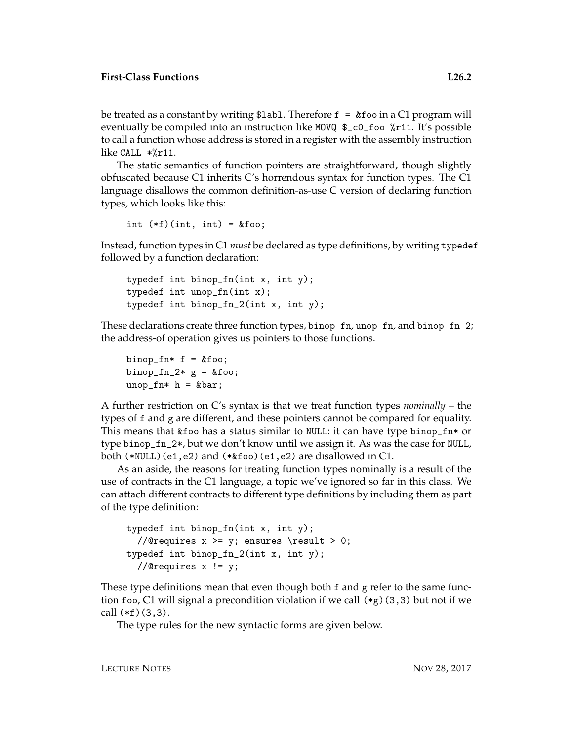be treated as a constant by writing \$1abl. Therefore  $f = k f$  as in a C1 program will eventually be compiled into an instruction like MOVQ \$\_c0\_foo %r11. It's possible to call a function whose address is stored in a register with the assembly instruction like CALL \*%r11.

The static semantics of function pointers are straightforward, though slightly obfuscated because C1 inherits C's horrendous syntax for function types. The C1 language disallows the common definition-as-use C version of declaring function types, which looks like this:

int  $(*f)(int, int) = k foo;$ 

Instead, function types in C1 *must* be declared as type definitions, by writing typedef followed by a function declaration:

```
typedef int binop_fn(int x, int y);
typedef int unop_fn(int x);
typedef int binop_fn_2(int x, int y);
```
These declarations create three function types, binop\_fn, unop\_fn, and binop\_fn\_2; the address-of operation gives us pointers to those functions.

```
binop_fn* f = kfoo;
binop_fn_2* g = &foo;
unop_fn* h = kbar;
```
A further restriction on C's syntax is that we treat function types *nominally* – the types of f and g are different, and these pointers cannot be compared for equality. This means that &foo has a status similar to NULL: it can have type binop\_fn\* or type binop\_fn\_2\*, but we don't know until we assign it. As was the case for NULL, both (\*NULL)(e1,e2) and (\*&foo)(e1,e2) are disallowed in C1.

As an aside, the reasons for treating function types nominally is a result of the use of contracts in the C1 language, a topic we've ignored so far in this class. We can attach different contracts to different type definitions by including them as part of the type definition:

```
typedef int binop_fn(int x, int y);
  //@requires x \ge y; ensures \result > 0;
typedef int binop_fn_2(int x, int y);
  //@requires x != y;
```
These type definitions mean that even though both f and g refer to the same function foo, C1 will signal a precondition violation if we call  $(*g)(3,3)$  but not if we call  $(*f)(3,3)$ .

The type rules for the new syntactic forms are given below.

LECTURE NOTES NOW 28, 2017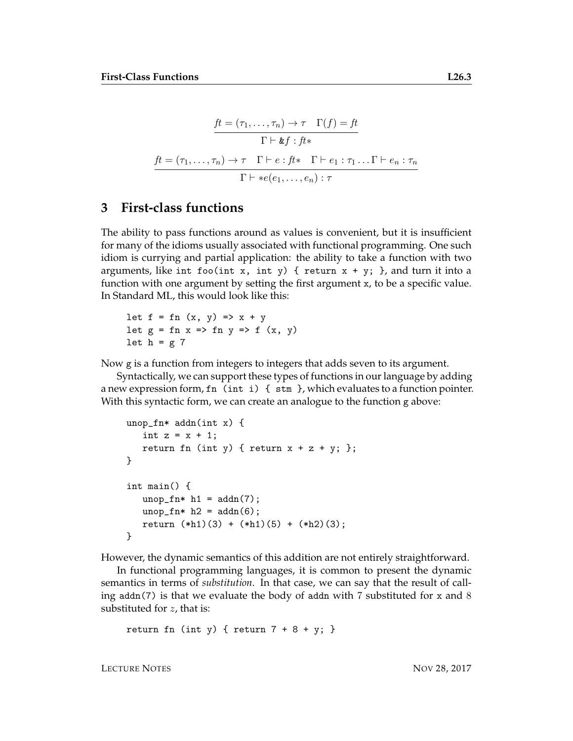$$
\frac{ft = (\tau_1, \dots, \tau_n) \to \tau \quad \Gamma(f) = ft}{\Gamma \vdash \&f : ft*}
$$
\n
$$
\frac{ft = (\tau_1, \dots, \tau_n) \to \tau \quad \Gamma \vdash e : ft* \quad \Gamma \vdash e_1 : \tau_1 \dots \Gamma \vdash e_n : \tau_n}{\Gamma \vdash \ast e(e_1, \dots, e_n) : \tau}
$$

## **3 First-class functions**

The ability to pass functions around as values is convenient, but it is insufficient for many of the idioms usually associated with functional programming. One such idiom is currying and partial application: the ability to take a function with two arguments, like int foo(int x, int y) { return  $x + y$ ; }, and turn it into a function with one argument by setting the first argument x, to be a specific value. In Standard ML, this would look like this:

let  $f = fn (x, y) \Rightarrow x + y$ let  $g = fn \times => fn \times => f(x, y)$ let  $h = g$  7

Now g is a function from integers to integers that adds seven to its argument.

Syntactically, we can support these types of functions in our language by adding a new expression form,  $fn$  (int i) { $stm$ , which evaluates to a function pointer. With this syntactic form, we can create an analogue to the function g above:

```
unop_fn* addn(int x) {
   int z = x + 1;
   return fn (int y) { return x + z + y; };
}
int main() {
   unop_fn* h1 = addn(7);unop_fn* h2 = \text{addn}(6);
   return (*h1)(3) + (*h1)(5) + (*h2)(3);}
```
However, the dynamic semantics of this addition are not entirely straightforward.

In functional programming languages, it is common to present the dynamic semantics in terms of *substitution*. In that case, we can say that the result of calling addn(7) is that we evaluate the body of addn with 7 substituted for x and 8 substituted for  $z$ , that is:

```
return fn (int y) { return 7 + 8 + y; }
```
LECTURE NOTES NOW 28, 2017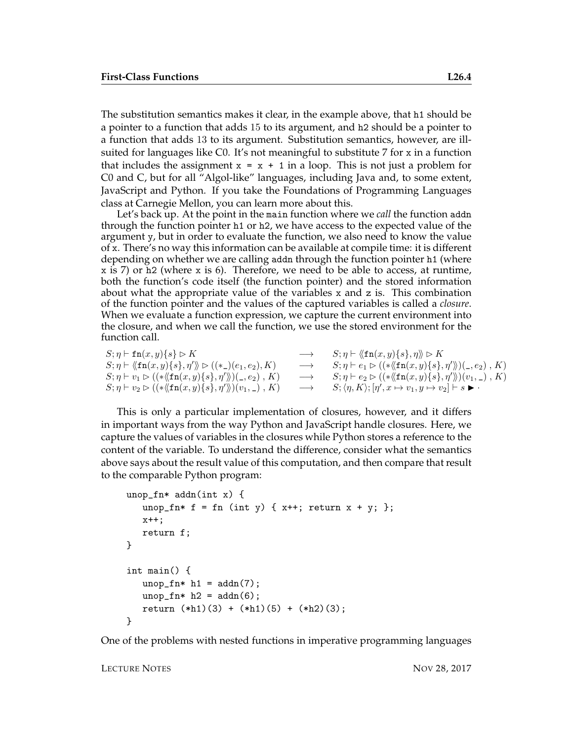The substitution semantics makes it clear, in the example above, that h1 should be a pointer to a function that adds 15 to its argument, and h2 should be a pointer to a function that adds 13 to its argument. Substitution semantics, however, are illsuited for languages like C0. It's not meaningful to substitute 7 for x in a function that includes the assignment  $x = x + 1$  in a loop. This is not just a problem for C0 and C, but for all "Algol-like" languages, including Java and, to some extent, JavaScript and Python. If you take the Foundations of Programming Languages class at Carnegie Mellon, you can learn more about this.

Let's back up. At the point in the main function where we *call* the function addn through the function pointer h1 or h2, we have access to the expected value of the argument y, but in order to evaluate the function, we also need to know the value of x. There's no way this information can be available at compile time: it is different depending on whether we are calling addn through the function pointer h1 (where x is 7) or h2 (where x is 6). Therefore, we need to be able to access, at runtime, both the function's code itself (the function pointer) and the stored information about what the appropriate value of the variables x and z is. This combination of the function pointer and the values of the captured variables is called a *closure*. When we evaluate a function expression, we capture the current environment into the closure, and when we call the function, we use the stored environment for the function call.

 $S; \eta \vdash \mathsf{fn}(x, y) \{s\} \triangleright K$   $\longrightarrow$   $S; \eta \vdash \langle \mathsf{fn}(x, y) \{s\}, \eta \rangle \triangleright K$  $S; \eta \vdash \langle \langle \text{fn}(x, y) \{s\}, \eta' \rangle \rangle \rhd ((*_-)(e_1, e_2), K)$  $\psi \triangleright ((\ast_-)(e_1, e_2), K) \longrightarrow S; \eta \vdash e_1 \triangleright ((\ast \langle (\mathtt{fn}(x, y) \{s\}, \eta' \rangle)(\_, e_2), K)$  $S; \eta \vdash v_1 \rhd ((\ast \langle \mathbf{fn}(x, y) \{s\}, \eta' \rangle)(\_, e_2), K)$  $\langle \langle \rangle \rangle (_-, e_2)$  ,  $K) \qquad \longrightarrow \qquad S; \eta \vdash e_2 \rhd ((*\langle \langle \mathtt{fn}(x, y) \{s\}, \eta' \rangle \rangle)(v_1, \square), K)$  $S; \eta \vdash v_2 \rhd ((\ast \langle \mathbf{fn}(x, y) \{s\}, \eta' \rangle)(v_1, \_), K)$  $\langle \Huge{\rangle\!\!\!\backslash} (v_1,\underline{\hspace{0.3cm}}, K) \qquad \longrightarrow \qquad S; \langle \eta, K \rangle; [\eta', x \mapsto v_1, y \mapsto v_2] \vdash s \blacktriangleright \cdot \Vert$ 

This is only a particular implementation of closures, however, and it differs in important ways from the way Python and JavaScript handle closures. Here, we capture the values of variables in the closures while Python stores a reference to the content of the variable. To understand the difference, consider what the semantics above says about the result value of this computation, and then compare that result to the comparable Python program:

```
unop_fn* addn(int x) {
   unop_fn* f = fn (int y) { x++; return x + y; };
  x++;
   return f;
}
int main() {
   unop_fn* h1 = addn(7);unop_fn* h2 = addn(6);return (*h1)(3) + (*h1)(5) + (*h2)(3);}
```
One of the problems with nested functions in imperative programming languages

LECTURE NOTES NOTES NOW 28, 2017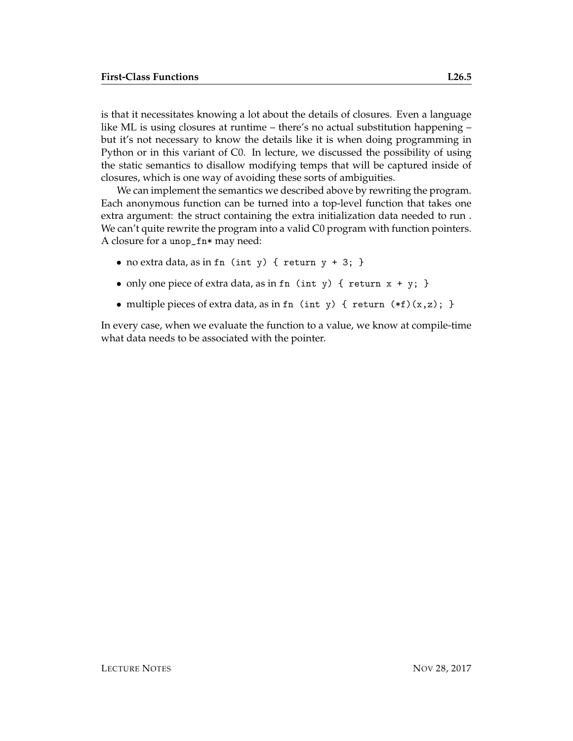is that it necessitates knowing a lot about the details of closures. Even a language like ML is using closures at runtime – there's no actual substitution happening – but it's not necessary to know the details like it is when doing programming in Python or in this variant of C0. In lecture, we discussed the possibility of using the static semantics to disallow modifying temps that will be captured inside of closures, which is one way of avoiding these sorts of ambiguities.

We can implement the semantics we described above by rewriting the program. Each anonymous function can be turned into a top-level function that takes one extra argument: the struct containing the extra initialization data needed to run . We can't quite rewrite the program into a valid C0 program with function pointers. A closure for a unop\_fn\* may need:

- no extra data, as in fn (int y) { return y + 3; }
- only one piece of extra data, as in fn  $(int y) {$  return  $x + y;$  }
- multiple pieces of extra data, as in fn (int y) { return  $(*f)(x,z)$ ; }

In every case, when we evaluate the function to a value, we know at compile-time what data needs to be associated with the pointer.